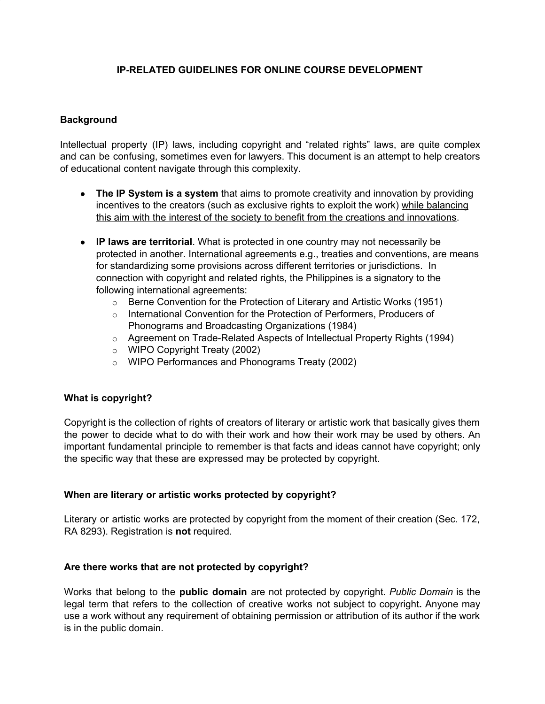## **IP-RELATED GUIDELINES FOR ONLINE COURSE DEVELOPMENT**

#### **Background**

Intellectual property (IP) laws, including copyright and "related rights" laws, are quite complex and can be confusing, sometimes even for lawyers. This document is an attempt to help creators of educational content navigate through this complexity.

- **The IP System is a system** that aims to promote creativity and innovation by providing incentives to the creators (such as exclusive rights to exploit the work) while balancing this aim with the interest of the society to benefit from the creations and innovations.
- **IP laws are territorial**. What is protected in one country may not necessarily be protected in another. International agreements e.g., treaties and conventions, are means for standardizing some provisions across different territories or jurisdictions. In connection with copyright and related rights, the Philippines is a signatory to the following international agreements:
	- o Berne Convention for the Protection of Literary and Artistic Works (1951)
	- o International Convention for the Protection of Performers, Producers of Phonograms and Broadcasting Organizations (1984)
	- o Agreement on Trade-Related Aspects of Intellectual Property Rights (1994)
	- o WIPO Copyright Treaty (2002)
	- o WIPO Performances and Phonograms Treaty (2002)

### **What is copyright?**

Copyright is the collection of rights of creators of literary or artistic work that basically gives them the power to decide what to do with their work and how their work may be used by others. An important fundamental principle to remember is that facts and ideas cannot have copyright; only the specific way that these are expressed may be protected by copyright.

#### **When are literary or artistic works protected by copyright?**

Literary or artistic works are protected by copyright from the moment of their creation (Sec. 172, RA 8293). Registration is **not** required.

#### **Are there works that are not protected by copyright?**

Works that belong to the **public domain** are not protected by copyright. *Public Domain* is the legal term that refers to the collection of creative works not subject to copyright**.** Anyone may use a work without any requirement of obtaining permission or attribution of its author if the work is in the public domain.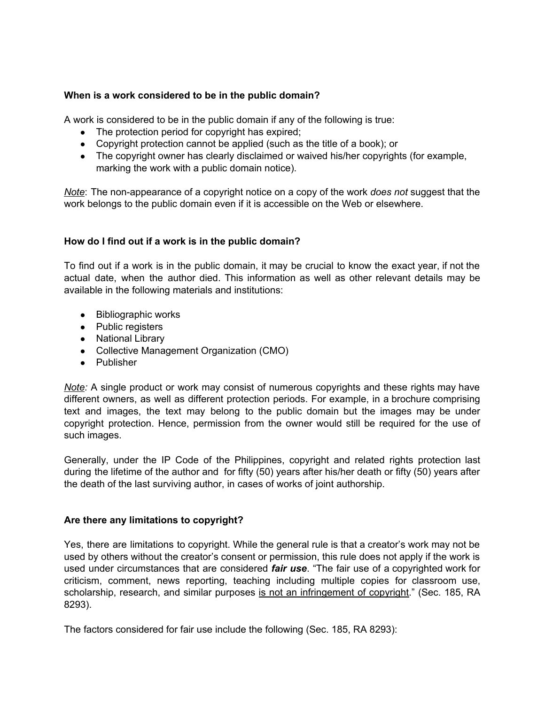### **When is a work considered to be in the public domain?**

A work is considered to be in the public domain if any of the following is true:

- The protection period for copyright has expired;
- Copyright protection cannot be applied (such as the title of a book); or
- The copyright owner has clearly disclaimed or waived his/her copyrights (for example, marking the work with a public domain notice).

*Note*: The non-appearance of a copyright notice on a copy of the work *does not* suggest that the work belongs to the public domain even if it is accessible on the Web or elsewhere.

### **How do I find out if a work is in the public domain?**

To find out if a work is in the public domain, it may be crucial to know the exact year, if not the actual date, when the author died. This information as well as other relevant details may be available in the following materials and institutions:

- Bibliographic works
- Public registers
- National Library
- Collective Management Organization (CMO)
- Publisher

*Note:* A single product or work may consist of numerous copyrights and these rights may have different owners, as well as different protection periods. For example, in a brochure comprising text and images, the text may belong to the public domain but the images may be under copyright protection. Hence, permission from the owner would still be required for the use of such images.

Generally, under the IP Code of the Philippines, copyright and related rights protection last during the lifetime of the author and for fifty (50) years after his/her death or fifty (50) years after the death of the last surviving author, in cases of works of joint authorship.

### **Are there any limitations to copyright?**

Yes, there are limitations to copyright. While the general rule is that a creator's work may not be used by others without the creator's consent or permission, this rule does not apply if the work is used under circumstances that are considered *fair use*. "The fair use of a copyrighted work for criticism, comment, news reporting, teaching including multiple copies for classroom use, scholarship, research, and similar purposes is not an infringement of copyright." (Sec. 185, RA 8293).

The factors considered for fair use include the following (Sec. 185, RA 8293):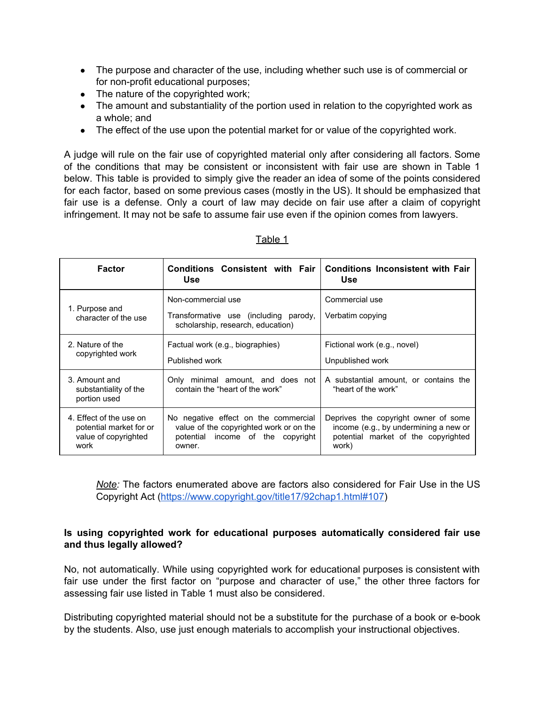- The purpose and character of the use, including whether such use is of commercial or for non-profit educational purposes;
- The nature of the copyrighted work;
- The amount and substantiality of the portion used in relation to the copyrighted work as a whole; and
- The effect of the use upon the potential market for or value of the copyrighted work.

A judge will rule on the fair use of copyrighted material only after considering all factors. Some of the conditions that may be consistent or inconsistent with fair use are shown in Table 1 below. This table is provided to simply give the reader an idea of some of the points considered for each factor, based on some previous cases (mostly in the US). It should be emphasized that fair use is a defense. Only a court of law may decide on fair use after a claim of copyright infringement. It may not be safe to assume fair use even if the opinion comes from lawyers.

| <b>Factor</b>                                                                      | <b>Conditions Consistent with Fair</b><br><b>Use</b>                                                                           | <b>Conditions Inconsistent with Fair</b><br><b>Use</b>                                                                        |
|------------------------------------------------------------------------------------|--------------------------------------------------------------------------------------------------------------------------------|-------------------------------------------------------------------------------------------------------------------------------|
| 1. Purpose and<br>character of the use                                             | Non-commercial use<br>Transformative use (including parody,<br>scholarship, research, education)                               | Commercial use<br>Verbatim copying                                                                                            |
| 2. Nature of the<br>copyrighted work                                               | Factual work (e.g., biographies)<br>Published work                                                                             | Fictional work (e.g., novel)<br>Unpublished work                                                                              |
| 3. Amount and<br>substantiality of the<br>portion used                             | Only minimal amount, and does not<br>contain the "heart of the work"                                                           | A substantial amount, or contains the<br>"heart of the work"                                                                  |
| 4. Effect of the use on<br>potential market for or<br>value of copyrighted<br>work | No negative effect on the commercial<br>value of the copyrighted work or on the<br>potential income of the copyright<br>owner. | Deprives the copyright owner of some<br>income (e.g., by undermining a new or<br>potential market of the copyrighted<br>work) |

## Table 1

*Note:* The factors enumerated above are factors also considered for Fair Use in the US Copyright Act ([https://www.copyright.gov/title17/92chap1.html#107\)](https://www.copyright.gov/title17/92chap1.html#107)

### **Is using copyrighted work for educational purposes automatically considered fair use and thus legally allowed?**

No, not automatically. While using copyrighted work for educational purposes is consistent with fair use under the first factor on "purpose and character of use," the other three factors for assessing fair use listed in Table 1 must also be considered.

Distributing copyrighted material should not be a substitute for the purchase of a book or e-book by the students. Also, use just enough materials to accomplish your instructional objectives.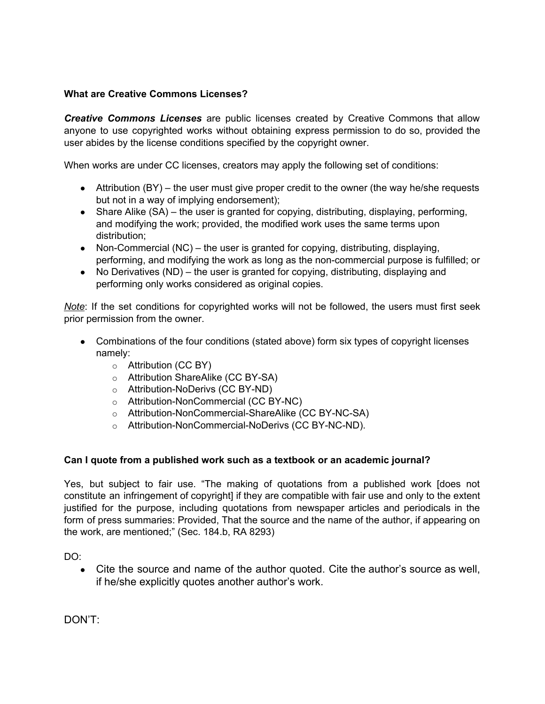## **What are Creative Commons Licenses?**

*Creative Commons Licenses* are public licenses created by Creative Commons that allow anyone to use copyrighted works without obtaining express permission to do so, provided the user abides by the license conditions specified by the copyright owner.

When works are under CC licenses, creators may apply the following set of conditions:

- $\bullet$  Attribution (BY) the user must give proper credit to the owner (the way he/she requests but not in a way of implying endorsement);
- $\bullet$  Share Alike (SA) the user is granted for copying, distributing, displaying, performing, and modifying the work; provided, the modified work uses the same terms upon distribution;
- Non-Commercial  $(NC)$  the user is granted for copying, distributing, displaying, performing, and modifying the work as long as the non-commercial purpose is fulfilled; or
- No Derivatives (ND) the user is granted for copying, distributing, displaying and performing only works considered as original copies.

*Note*: If the set conditions for copyrighted works will not be followed, the users must first seek prior permission from the owner.

- Combinations of the four conditions (stated above) form six types of copyright licenses namely:
	- o Attribution (CC BY)
	- o Attribution ShareAlike (CC BY-SA)
	- o Attribution-NoDerivs (CC BY-ND)
	- o Attribution-NonCommercial (CC BY-NC)
	- o Attribution-NonCommercial-ShareAlike (CC BY-NC-SA)
	- o Attribution-NonCommercial-NoDerivs (CC BY-NC-ND).

# **Can I quote from a published work such as a textbook or an academic journal?**

Yes, but subject to fair use. "The making of quotations from a published work [does not constitute an infringement of copyright] if they are compatible with fair use and only to the extent justified for the purpose, including quotations from newspaper articles and periodicals in the form of press summaries: Provided, That the source and the name of the author, if appearing on the work, are mentioned;" (Sec. 184.b, RA 8293)

DO:

• Cite the source and name of the author quoted. Cite the author's source as well, if he/she explicitly quotes another author's work.

DON'T: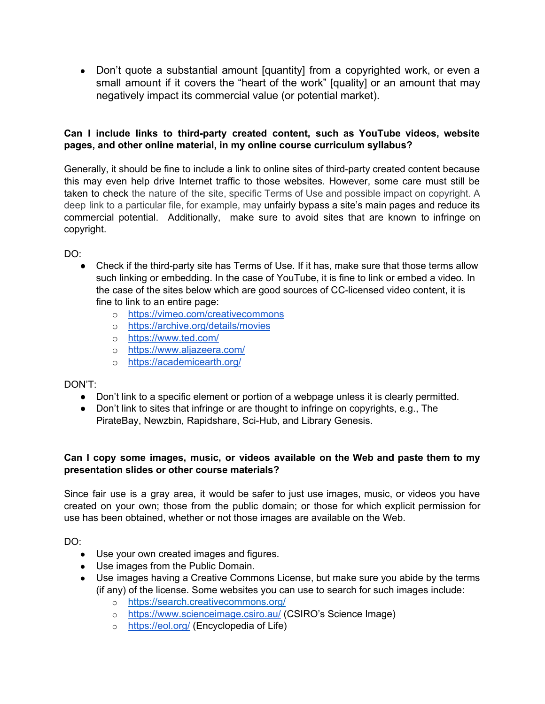• Don't quote a substantial amount [quantity] from a copyrighted work, or even a small amount if it covers the "heart of the work" [quality] or an amount that may negatively impact its commercial value (or potential market).

## **Can I include links to third-party created content, such as YouTube videos, website pages, and other online material, in my online course curriculum syllabus?**

Generally, it should be fine to include a link to online sites of third-party created content because this may even help drive Internet traffic to those websites. However, some care must still be taken to check the nature of the site, specific Terms of Use and possible impact on copyright. A deep link to a particular file, for example, may unfairly bypass a site's main pages and reduce its commercial potential. Additionally, make sure to avoid sites that are known to infringe on copyright.

DO:

- Check if the third-party site has Terms of Use. If it has, make sure that those terms allow such linking or embedding. In the case of YouTube, it is fine to link or embed a video. In the case of the sites below which are good sources of CC-licensed video content, it is fine to link to an entire page:
	- o <https://vimeo.com/creativecommons>
	- o <https://archive.org/details/movies>
	- o <https://www.ted.com/>
	- o <https://www.aljazeera.com/>
	- o <https://academicearth.org/>

# DON'T:

- Don't link to a specific element or portion of a webpage unless it is clearly permitted.
- Don't link to sites that infringe or are thought to infringe on copyrights, e.g., The PirateBay, Newzbin, Rapidshare, Sci-Hub, and Library Genesis.

# **Can I copy some images, music, or videos available on the Web and paste them to my presentation slides or other course materials?**

Since fair use is a gray area, it would be safer to just use images, music, or videos you have created on your own; those from the public domain; or those for which explicit permission for use has been obtained, whether or not those images are available on the Web.

DO:

- Use your own created images and figures.
- Use images from the Public Domain.
- Use images having a Creative Commons License, but make sure you abide by the terms (if any) of the license. Some websites you can use to search for such images include:
	- o <https://search.creativecommons.org/>
	- o <https://www.scienceimage.csiro.au/> (CSIRO's Science Image)
	- o <https://eol.org/> (Encyclopedia of Life)